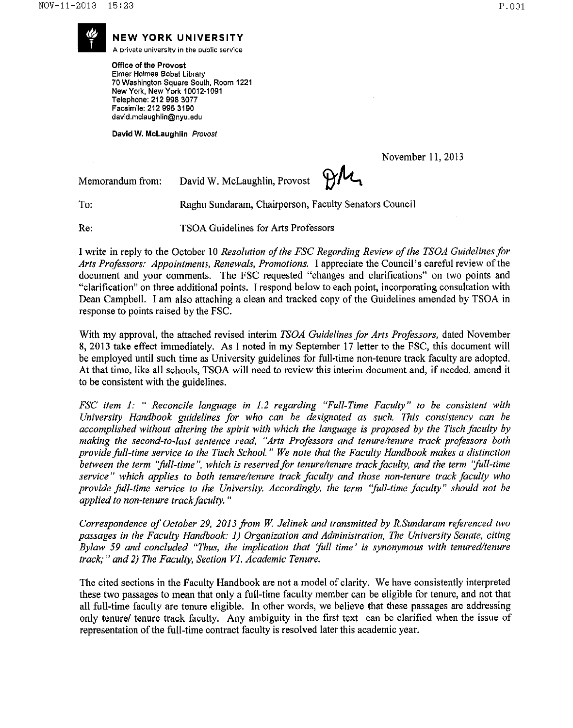

**A orivate** untversftv **in the public service**

**NEW YORK UNIVERSITY**<br>A private university in the public service<br>Office of the Provost<br>Elmer Holmes Bobst Library Office of the Provost Elmer Holmes Bobst Library 70 Washington Square South, Room 1221 New York. New York 10012-1091 Telephone: 212 998 3077 Facsimile: 212 995 3190 david.mciaughlin@nyu.edu

David W. McLaughlin Provost

November 11, 2013

Memorandum from:

Raghu Sundaram, Chairperson, Faculty Senators Council

To: Re:

TSOA Guidelines for Arts Professors

David W. McLaughlin, Provost

1write in reply to the October 10 *Resolution ofthe FSC Regarding Review ofthe TSOA Guidelines for Arts Professors: Appointments, Renewals, Promotions.* 1appreciate the Council's careful review ofthe document and your comments. The FSC requested "changes and clarifications" on two points and "clarification" on three additional points. 1respond below to each point, incorporating consultation with Dean Campbell. I am also attaching a clean and tracked copy of the Guidelines amended by TSOA in response to points raised by the FSC.

With my approval, the attached revised interim *TSOA Guidelines for Arts Professors,* dated November 8, 2013 take effect immediately. As I noted in my September 17 letter to the FSC, this document will be employed until such time as University guidelines for full-time non-tenure track faculty are adopted. At that time, like all schools, TSOA will need to review this interim document and, if needed, amend it to be consistent with the guidelines.

*FSC item* 1: " *Reconcile language in* 1.2 *regarding "Full-Time Faculty" to be consistent with University Handbook guidelines for who can be designated as such. This consistency can be accomplished without altering the spirit with which the language is proposed by the Tisch faculty by making the second-to-last sentence read, "Arts Professors and tenure/tenure track professors both provide full-time service to the Tisch School.* " *We note that the Faculty Handbook makes a distinction between the term "full-time* ", *which is reserved for tenure/tenure track faculty, and the term "full-time service" which applies to both tenure/tenure track faculty and those non-tenure track faculty who provide full-time service to the University. Accordingly, the term "full-time faculty" should not be applied to non-tenure trackfaculty. "*

*Correspondence of October* 29, *2013 from W Jelinek and transmitted by R.Sundaram referenced two passages in the Faculty Handbook:* 1) *Organization and Administration, The University Senate, citing Bylaw* 59 *and concluded "Thus, the implication that 'full time' is synonymous with tenured/tenure track;" and* 2) *The Faculty, Section VI. Academic Tenure.*

The cited sections in the Faculty Handbook are not a model of clarity. We have consistently interpreted these two passages to mean that only a full-time faculty member can be eligible for tenure, and not that all full-time faculty are tenure eligible. In other words, we believe that these passages are addressing only tenure track faculty. Any ambiguity in the first text can be clarified when the issue of representation of the full-time contract faculty is resolved later this academic year.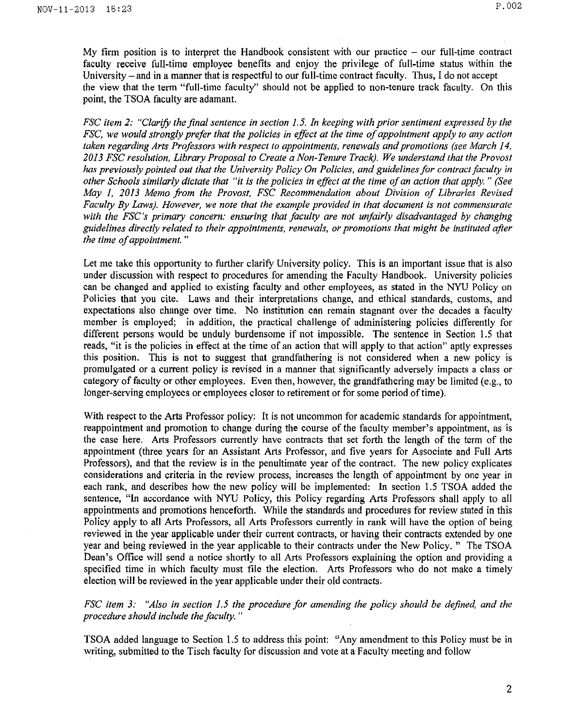My firm position is to interpret the Handbook consistent with our practice  $-$  our full-time contract faculty receive full-time employee benefits and enjoy the privilege of full-time status within the University  $-$  and in a manner that is respectful to our full-time contract faculty. Thus, I do not accept the view that the term "full-time faculty" should not be applied to non-tenure track faculty. On this point, the TSOA faculty are adamant.

*FSC item* 2: *"Clarify the final sentence in section* 1.5. *In keeping with prior sentiment expressed by the FSC, we would strongly prefer that the policies in effect at the time ofappointment apply to any action taken regarding Arts Professors with respect to appointments, renewals and promotions (see March 14, 2013 FSC resolution, Library Proposal to Create a Non- Tenure Track). We understand that the Provost has previously pointed out that the University Policy On Policies, and guidelinesfor contract faculty in other Schools similarly dictate that "it is the policies in effect at the time ofan action that apply.*" *(See May* 1, *2013 Memo from the Provost, FSC Recommendation about Division of Libraries Revised Faculty By Laws). However, we note that the example provided in that document is not commensurate with the FSC's primary concern: ensuring that faculty are not unfairly disadvantaged by changing guidelines directly related to their appointments, renewals, or promotions that might be instituted after the time ofappointment. "*

Let me take this opportunity to further clarify University policy. This is an important issue that is also under discussion with respect to procedures for amending the Faculty Handbook. University policies can be changed and applied to existing faculty and other employees, as stated in the NYU Policy on Policies that you cite. Laws and their interpretations change, and ethical standards, customs, and expectations also change over time. No institution can remain stagnant over the decades a faculty member is employed; in addition, the practical challenge of administering policies differently for different persons would be unduly burdensome if not impossible. The sentence in Section 1.5 that reads, "it is the policies in effect at the time of an action that will apply to that action" aptly expresses this position. This is not to suggest that grandfathering is not considered when a new policy is promulgated or a current policy is revised in a manner that significantly adversely impacts a class or category of faculty or other employees. Even then, however, the grandfathering may be limited (e.g., to longer-serving employees or employees closer to retirement or for some period of time).

With respect to the Arts Professor policy: It is not uncommon for academic standards for appointment, reappointment and promotion to change during the course of the faculty member's appointment, as is the case here. Arts Professors currently have contracts that set forth the length of the term of the appointment (three years for an Assistant Arts Professor, and five years for Associate and Full Arts Professors), and that the review is in the penultimate year of the contract. The new policy explicates considerations and criteria in the review process, increases the length of appointment by one year in each rank, and describes how the new policy will be implemented: In section 1.5 TSOA added the sentence, "In accordance with NYU Policy, this Policy regarding Arts Professors shall apply to all appointments and promotions henceforth. While the standards and procedures for review stated in this Policy apply to all Arts Professors, all Arts Professors currently in rank will have the option of being reviewed in the year applicable under their current contracts, or having their contracts extended by one year and being reviewed in the year applicable to their contracts under the New Policy." The TSOA Dean's Office will send a notice shortly to all Arts Professors explaining the option and providing a specified time in which faculty must file the election. Arts Professors who do not make a timely election will be reviewed in the year applicable under their old contracts.

*FSC item* 3: *"Also in section* 1.5 *the procedure for amending the policy should be defined, and the procedure should include the faculty. "*

TSOA added language to Section 1.5 to address this point: "Any amendment to this Policy must be in writing, submitted to the Tisch faculty for discussion and vote at a Faculty meeting and follow